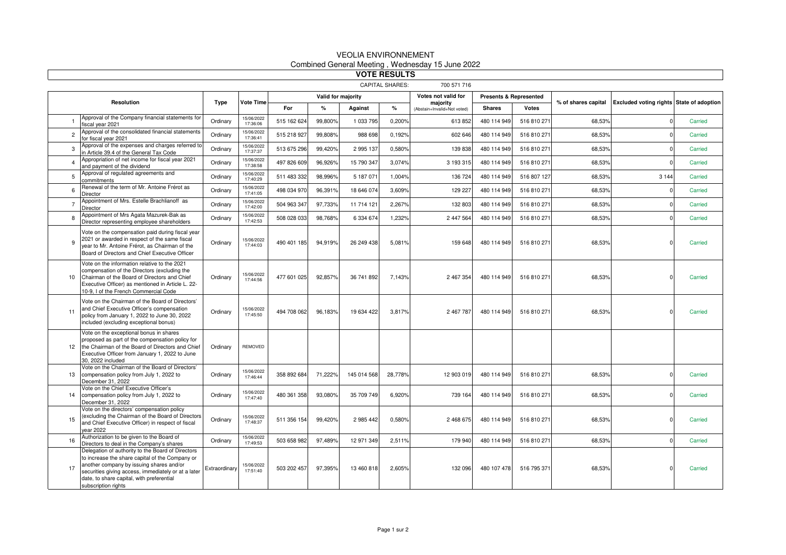| <b>VOTE RESULTS</b>                   |                                                                                                                                                                                                                                                                             |               |                        |                    |         |             |         |                                         |                                   |              |                     |                                          |         |
|---------------------------------------|-----------------------------------------------------------------------------------------------------------------------------------------------------------------------------------------------------------------------------------------------------------------------------|---------------|------------------------|--------------------|---------|-------------|---------|-----------------------------------------|-----------------------------------|--------------|---------------------|------------------------------------------|---------|
| <b>CAPITAL SHARES:</b><br>700 571 716 |                                                                                                                                                                                                                                                                             |               |                        |                    |         |             |         |                                         |                                   |              |                     |                                          |         |
| <b>Resolution</b>                     |                                                                                                                                                                                                                                                                             | Type          | <b>Vote Time</b>       | Valid for majority |         |             |         | Votes not valid for                     | <b>Presents &amp; Represented</b> |              |                     |                                          |         |
|                                       |                                                                                                                                                                                                                                                                             |               |                        | For                | $\%$    | Against     | %       | majority<br>(Abstain+Invalid+Not voted) | <b>Shares</b>                     | <b>Votes</b> | % of shares capital | Excluded voting rights State of adoption |         |
|                                       | Approval of the Company financial statements for<br>fiscal vear 2021                                                                                                                                                                                                        | Ordinary      | 15/06/2022<br>17:36:06 | 515 162 624        | 99,800% | 1 033 795   | 0.200%  | 613 852                                 | 480 114 949                       | 516 810 271  | 68.53%              |                                          | Carried |
| $\overline{c}$                        | Approval of the consolidated financial statements<br>for fiscal vear 2021                                                                                                                                                                                                   | Ordinary      | 15/06/2022<br>17:36:41 | 515 218 927        | 99.808% | 988 698     | 0.192%  | 602 646                                 | 480 114 949                       | 516 810 271  | 68.53%              |                                          | Carried |
| 3                                     | Approval of the expenses and charges referred to<br>in Article 39.4 of the General Tax Code                                                                                                                                                                                 | Ordinary      | 15/06/2022<br>17:37:37 | 513 675 296        | 99,420% | 2 995 137   | 0,580%  | 139 838                                 | 480 114 949                       | 516 810 271  | 68,53%              |                                          | Carried |
| $\overline{4}$                        | Appropriation of net income for fiscal year 2021<br>and payment of the dividend                                                                                                                                                                                             | Ordinary      | 15/06/2022<br>17:38:58 | 497 826 609        | 96,926% | 15 790 347  | 3.074%  | 3 193 315                               | 480 114 949                       | 516 810 271  | 68,53%              |                                          | Carried |
| 5                                     | Approval of regulated agreements and<br>commitments                                                                                                                                                                                                                         | Ordinary      | 15/06/2022<br>17:40:29 | 511 483 332        | 98,996% | 5 187 071   | 1,004%  | 136 724                                 | 480 114 949                       | 516 807 127  | 68,53%              | 3 1 4 4                                  | Carried |
| 6                                     | Renewal of the term of Mr. Antoine Frérot as<br>Director                                                                                                                                                                                                                    | Ordinary      | 15/06/2022<br>17:41:05 | 498 034 970        | 96,391% | 18 646 074  | 3,609%  | 129 227                                 | 480 114 949                       | 516 810 271  | 68,53%              |                                          | Carried |
| $\overline{7}$                        | Appointment of Mrs. Estelle Brachlianoff as<br>Director                                                                                                                                                                                                                     | Ordinary      | 15/06/2022<br>17:42:00 | 504 963 347        | 97,733% | 11 714 121  | 2,267%  | 132 803                                 | 480 114 949                       | 516 810 271  | 68,53%              |                                          | Carried |
| 8                                     | Appointment of Mrs Agata Mazurek-Bak as<br>Director representing employee shareholders                                                                                                                                                                                      | Ordinary      | 15/06/2022<br>17:42:53 | 508 028 033        | 98,768% | 6 334 674   | 1,232%  | 2 447 564                               | 480 114 949                       | 516 810 271  | 68,53%              |                                          | Carried |
|                                       | Vote on the compensation paid during fiscal year<br>2021 or awarded in respect of the same fiscal<br>year to Mr. Antoine Frérot, as Chairman of the<br>Board of Directors and Chief Executive Officer                                                                       | Ordinary      | 15/06/2022<br>17:44:03 | 490 401 185        | 94,919% | 26 249 438  | 5,081%  | 159 648                                 | 480 114 949                       | 516 810 271  | 68,53%              |                                          | Carried |
| 10                                    | Vote on the information relative to the 2021<br>compensation of the Directors (excluding the<br>Chairman of the Board of Directors and Chief<br>Executive Officer) as mentioned in Article L. 22-<br>10-9, I of the French Commercial Code                                  | Ordinary      | 15/06/2022<br>17:44:56 | 477 601 025        | 92,857% | 36 741 892  | 7,143%  | 2 467 354                               | 480 114 949                       | 516 810 271  | 68,53%              |                                          | Carried |
| 11                                    | Vote on the Chairman of the Board of Directors'<br>and Chief Executive Officer's compensation<br>policy from January 1, 2022 to June 30, 2022<br>included (excluding exceptional bonus)                                                                                     | Ordinary      | 15/06/2022<br>17:45:50 | 494 708 062        | 96,183% | 19 634 422  | 3.817%  | 2 467 787                               | 480 114 949                       | 516 810 271  | 68.53%              |                                          | Carried |
| 12                                    | Vote on the exceptional bonus in shares<br>proposed as part of the compensation policy for<br>the Chairman of the Board of Directors and Chief<br>Executive Officer from January 1, 2022 to June<br>30. 2022 included                                                       | Ordinary      | REMOVED                |                    |         |             |         |                                         |                                   |              |                     |                                          |         |
| 13                                    | Vote on the Chairman of the Board of Directors'<br>compensation policy from July 1, 2022 to<br>December 31, 2022                                                                                                                                                            | Ordinary      | 15/06/2022<br>17:46:44 | 358 892 684        | 71,222% | 145 014 568 | 28,778% | 12 903 019                              | 480 114 949                       | 516 810 271  | 68,53%              |                                          | Carried |
| 14                                    | Vote on the Chief Executive Officer's<br>compensation policy from July 1, 2022 to<br>December 31, 2022                                                                                                                                                                      | Ordinary      | 15/06/2022<br>17:47:40 | 480 361 358        | 93,080% | 35 709 749  | 6,920%  | 739 164                                 | 480 114 949                       | 516 810 271  | 68,53%              |                                          | Carried |
| 15                                    | Vote on the directors' compensation policy<br>(excluding the Chairman of the Board of Directors<br>and Chief Executive Officer) in respect of fiscal<br>year 2022                                                                                                           | Ordinary      | 15/06/2022<br>17:48:37 | 511 356 154        | 99,420% | 2 985 442   | 0,580%  | 2 468 675                               | 480 114 949                       | 516 810 271  | 68,53%              |                                          | Carried |
| 16                                    | Authorization to be given to the Board of<br>Directors to deal in the Company's shares                                                                                                                                                                                      | Ordinary      | 15/06/2022<br>17:49:53 | 503 658 982        | 97,489% | 12 971 349  | 2,511%  | 179 940                                 | 480 114 949                       | 516 810 271  | 68,53%              |                                          | Carried |
| 17                                    | Delegation of authority to the Board of Directors<br>to increase the share capital of the Company or<br>another company by issuing shares and/or<br>securities giving access, immediately or at a later<br>date, to share capital, with preferential<br>subscription rights | Extraordinary | 15/06/2022<br>17:51:40 | 503 202 457        | 97,395% | 13 460 818  | 2,605%  | 132 096                                 | 480 107 478                       | 516 795 371  | 68,53%              |                                          | Carried |

## VEOLIA ENVIRONNEMENTCombined General Meeting , Wednesday 15 June 2022